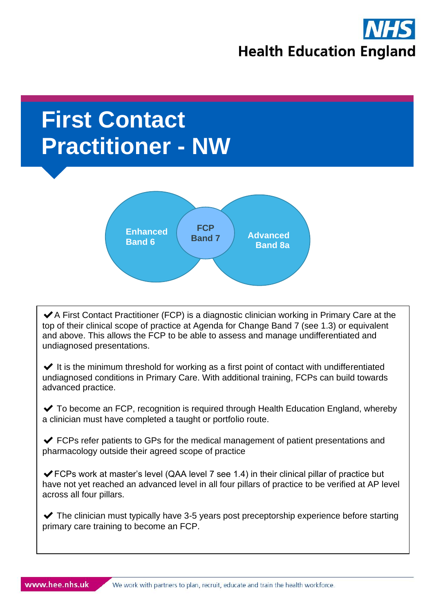

# **First Contact Practitioner - NW**



 $\blacktriangleright$  A First Contact Practitioner (FCP) is a diagnostic clinician working in Primary Care at the top of their clinical scope of practice at Agenda for Change Band 7 (see 1.3) or equivalent and above. This allows the FCP to be able to assess and manage undifferentiated and undiagnosed presentations.

 $\blacktriangleright$  It is the minimum threshold for working as a first point of contact with undifferentiated undiagnosed conditions in Primary Care. With additional training, FCPs can build towards advanced practice.

 $\blacktriangleright$  To become an FCP, recognition is required through Health Education England, whereby a clinician must have completed a taught or portfolio route.

 $\blacktriangleright$  FCPs refer patients to GPs for the medical management of patient presentations and pharmacology outside their agreed scope of practice

 $\blacktriangleright$  FCPs work at master's level (QAA level 7 see 1.4) in their clinical pillar of practice but have not yet reached an advanced level in all four pillars of practice to be verified at AP level across all four pillars.

 $\blacktriangleright$  The clinician must typically have 3-5 years post preceptorship experience before starting primary care training to become an FCP.